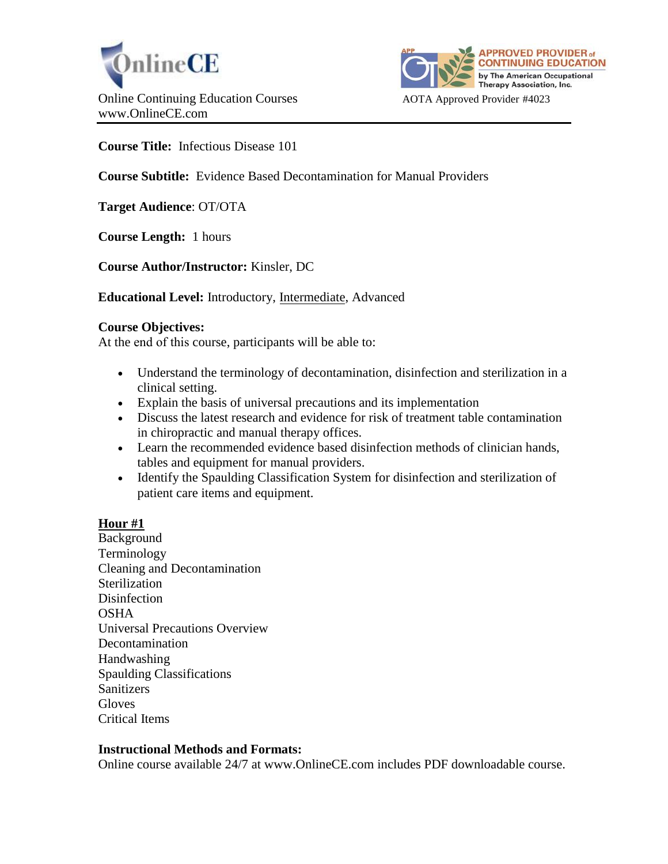



**Course Title:** Infectious Disease 101

**Course Subtitle:** Evidence Based Decontamination for Manual Providers

**Target Audience**: OT/OTA

**Course Length:** 1 hours

**Course Author/Instructor:** Kinsler, DC

**Educational Level:** Introductory, Intermediate, Advanced

### **Course Objectives:**

At the end of this course, participants will be able to:

- Understand the terminology of decontamination, disinfection and sterilization in a clinical setting.
- Explain the basis of universal precautions and its implementation
- Discuss the latest research and evidence for risk of treatment table contamination in chiropractic and manual therapy offices.
- Learn the recommended evidence based disinfection methods of clinician hands, tables and equipment for manual providers.
- Identify the Spaulding Classification System for disinfection and sterilization of patient care items and equipment.

### **Hour #1**

Background Terminology Cleaning and Decontamination Sterilization Disinfection OSHA Universal Precautions Overview Decontamination Handwashing Spaulding Classifications **Sanitizers Gloves** Critical Items

# **Instructional Methods and Formats:**

Online course available 24/7 at www.OnlineCE.com includes PDF downloadable course.